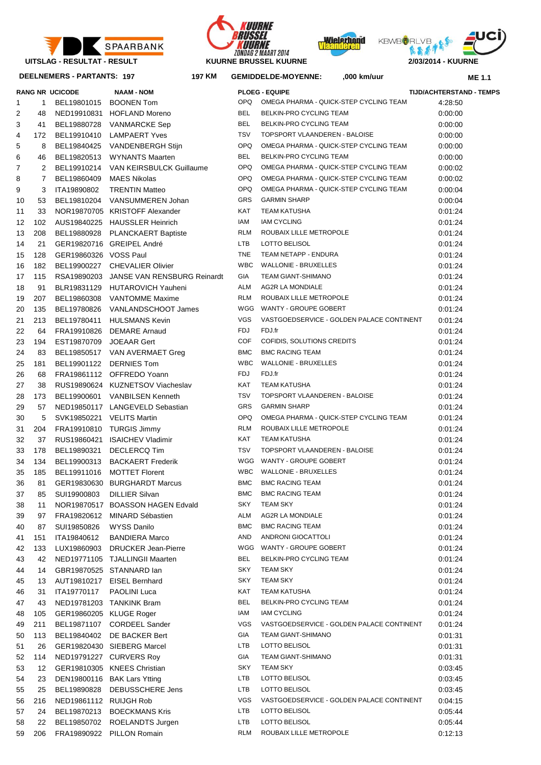







## **DEELNEMERS - PARTANTS: 197 197**

|    |                | <b>RANG NR UCICODE</b>    | <b>NAAM - NOM</b>                       |            | <b>PLOEG - EQUIPE</b>                     | <b>TIJD/ACHTERSTAI</b> |
|----|----------------|---------------------------|-----------------------------------------|------------|-------------------------------------------|------------------------|
| 1  | 1              | BEL19801015               | <b>BOONEN Tom</b>                       | OPQ.       | OMEGA PHARMA - QUICK-STEP CYCLING TEAM    | 4:28:50                |
| 2  | 48             |                           | NED19910831 HOFLAND Moreno              | <b>BEL</b> | BELKIN-PRO CYCLING TEAM                   | 0:00:00                |
| 3  | 41             | BEL19880728               | VANMARCKE Sep                           | <b>BEL</b> | BELKIN-PRO CYCLING TEAM                   | 0.00:00                |
| 4  | 172            | BEL19910410               | <b>LAMPAERT Yves</b>                    | <b>TSV</b> | TOPSPORT VLAANDEREN - BALOISE             | 0:00:00                |
| 5  | 8              | BEL19840425               | VANDENBERGH Stijn                       | <b>OPQ</b> | OMEGA PHARMA - QUICK-STEP CYCLING TEAM    | 0:00:00                |
| 6  | 46             | BEL19820513               | WYNANTS Maarten                         | <b>BEL</b> | BELKIN-PRO CYCLING TEAM                   | 0:00:00                |
| 7  | 2              | BEL19910214               | VAN KEIRSBULCK Guillaume                | <b>OPQ</b> | OMEGA PHARMA - QUICK-STEP CYCLING TEAM    | 0:00:02                |
| 8  | $\overline{7}$ | BEL19860409               | <b>MAES Nikolas</b>                     | <b>OPQ</b> | OMEGA PHARMA - QUICK-STEP CYCLING TEAM    | 0:00:02                |
| 9  | 3              | ITA19890802               | <b>TRENTIN Matteo</b>                   | <b>OPQ</b> | OMEGA PHARMA - QUICK-STEP CYCLING TEAM    | 0:00:04                |
| 10 | 53             | BEL19810204               | VANSUMMEREN Johan                       | <b>GRS</b> | <b>GARMIN SHARP</b>                       | 0:00:04                |
| 11 | 33             |                           | NOR19870705 KRISTOFF Alexander          | <b>KAT</b> | <b>TEAM KATUSHA</b>                       | 0:01:24                |
| 12 | 102            |                           | AUS19840225 HAUSSLER Heinrich           | IAM        | <b>IAM CYCLING</b>                        | 0:01:24                |
| 13 | 208            | BEL19880928               | <b>PLANCKAERT Baptiste</b>              | <b>RLM</b> | ROUBAIX LILLE METROPOLE                   | 0:01:24                |
| 14 | 21             |                           | GER19820716 GREIPEL André               | <b>LTB</b> | LOTTO BELISOL                             | 0:01:24                |
| 15 | 128            | GER19860326 VOSS Paul     |                                         | <b>TNE</b> | TEAM NETAPP - ENDURA                      | 0:01:24                |
| 16 | 182            |                           | BEL19900227 CHEVALIER Olivier           | <b>WBC</b> | <b>WALLONIE - BRUXELLES</b>               | 0:01:24                |
| 17 | 115            |                           | RSA19890203 JANSE VAN RENSBURG Reinardt | GIA        | <b>TEAM GIANT-SHIMANO</b>                 | 0:01:24                |
| 18 | 91             |                           | BLR19831129 HUTAROVICH Yauheni          | <b>ALM</b> | <b>AG2R LA MONDIALE</b>                   | 0:01:24                |
|    |                |                           | <b>VANTOMME Maxime</b>                  | <b>RLM</b> | ROUBAIX LILLE METROPOLE                   |                        |
| 19 | 207            | BEL19860308               |                                         | WGG        | WANTY - GROUPE GOBERT                     | 0:01:24                |
| 20 | 135            | BEL19780826               | VANLANDSCHOOT James                     |            |                                           | 0:01:24                |
| 21 | 213            | BEL19780411               | <b>HULSMANS Kevin</b>                   | <b>VGS</b> | VASTGOEDSERVICE - GOLDEN PALACE CONTINENT | 0:01:24                |
| 22 | 64             |                           | FRA19910826 DEMARE Arnaud               | <b>FDJ</b> | FDJ.fr                                    | 0:01:24                |
| 23 | 194            | EST19870709 JOEAAR Gert   |                                         | <b>COF</b> | COFIDIS, SOLUTIONS CREDITS                | 0:01:24                |
| 24 | 83             |                           | BEL19850517 VAN AVERMAET Greg           | <b>BMC</b> | <b>BMC RACING TEAM</b>                    | 0:01:24                |
| 25 | 181            | BEL19901122               | <b>DERNIES Tom</b>                      | <b>WBC</b> | <b>WALLONIE - BRUXELLES</b>               | 0:01:24                |
| 26 | 68             |                           | FRA19861112 OFFREDO Yoann               | <b>FDJ</b> | FDJ.fr                                    | 0:01:24                |
| 27 | 38             |                           | RUS19890624 KUZNETSOV Viacheslav        | KAT        | <b>TEAM KATUSHA</b>                       | 0:01:24                |
| 28 | 173            | BEL19900601               | <b>VANBILSEN Kenneth</b>                | <b>TSV</b> | TOPSPORT VLAANDEREN - BALOISE             | 0:01:24                |
| 29 | 57             |                           | NED19850117 LANGEVELD Sebastian         | GRS        | <b>GARMIN SHARP</b>                       | 0:01:24                |
| 30 | 5              | SVK19850221 VELITS Martin |                                         | <b>OPQ</b> | OMEGA PHARMA - QUICK-STEP CYCLING TEAM    | 0:01:24                |
| 31 | 204            | FRA19910810               | <b>TURGIS Jimmy</b>                     | <b>RLM</b> | ROUBAIX LILLE METROPOLE                   | 0:01:24                |
| 32 | 37             |                           | RUS19860421 ISAICHEV Vladimir           | KAT        | <b>TEAM KATUSHA</b>                       | 0:01:24                |
| 33 | 178            | BEL19890321               | <b>DECLERCQ Tim</b>                     | <b>TSV</b> | TOPSPORT VLAANDEREN - BALOISE             | 0:01:24                |
| 34 | 134            | BEL19900313               | <b>BACKAERT Frederik</b>                |            | WGG WANTY - GROUPE GOBERT                 | 0:01:24                |
| 35 | 185            | BEL19911016               | <b>MOTTET Florent</b>                   | WBC        | <b>WALLONIE - BRUXELLES</b>               | 0:01:24                |
| 36 | 81             |                           | GER19830630 BURGHARDT Marcus            | <b>BMC</b> | <b>BMC RACING TEAM</b>                    | 0:01:24                |
| 37 | 85             |                           | SUI19900803 DILLIER Silvan              | <b>BMC</b> | <b>BMC RACING TEAM</b>                    | 0.01.24                |
| 38 | 11             |                           | NOR19870517 BOASSON HAGEN Edvald        | SKY        | <b>TEAM SKY</b>                           | 0:01:24                |
| 39 | 97             | FRA19820612               | MINARD Sébastien                        | <b>ALM</b> | AG2R LA MONDIALE                          | 0:01:24                |
| 40 | 87             | SUI19850826               | <b>WYSS Danilo</b>                      | <b>BMC</b> | <b>BMC RACING TEAM</b>                    | 0:01:24                |
| 41 | 151            | ITA19840612               | <b>BANDIERA Marco</b>                   | AND        | ANDRONI GIOCATTOLI                        | 0:01:24                |
| 42 | 133            | LUX19860903               | <b>DRUCKER Jean-Pierre</b>              | WGG        | WANTY - GROUPE GOBERT                     | 0:01:24                |
| 43 | 42             |                           | NED19771105 TJALLINGII Maarten          | <b>BEL</b> | BELKIN-PRO CYCLING TEAM                   | 0.01.24                |
| 44 | 14             |                           | GBR19870525 STANNARD lan                | <b>SKY</b> | <b>TEAM SKY</b>                           | 0.01.24                |
| 45 | 13             |                           | AUT19810217 EISEL Bernhard              | SKY        | <b>TEAM SKY</b>                           | 0:01:24                |
| 46 | 31             | ITA19770117               | PAOLINI Luca                            | KAT        | <b>TEAM KATUSHA</b>                       | 0.01.24                |
| 47 | 43             |                           | NED19781203 TANKINK Bram                | <b>BEL</b> | BELKIN-PRO CYCLING TEAM                   | 0.01.24                |
| 48 | 105            | GER19860205 KLUGE Roger   |                                         | IAM        | <b>IAM CYCLING</b>                        | 0.01.24                |
| 49 | 211            |                           | BEL19871107 CORDEEL Sander              | <b>VGS</b> | VASTGOEDSERVICE - GOLDEN PALACE CONTINENT | 0.01.24                |
| 50 | 113            | BEL19840402               | DE BACKER Bert                          | GIA        | <b>TEAM GIANT-SHIMANO</b>                 | 0.01.31                |
| 51 | 26             |                           | GER19820430 SIEBERG Marcel              | <b>LTB</b> | LOTTO BELISOL                             | 0:01:31                |
| 52 | 114            |                           | NED19791227 CURVERS Roy                 | GIA        | <b>TEAM GIANT-SHIMANO</b>                 | 0:01:31                |
| 53 | 12             |                           | GER19810305 KNEES Christian             | SKY        | <b>TEAM SKY</b>                           | 0:03:45                |
| 54 | 23             |                           | DEN19800116 BAK Lars Ytting             | LTB        | LOTTO BELISOL                             | 0:03:45                |
| 55 | 25             | BEL19890828               | DEBUSSCHERE Jens                        | LTB        | LOTTO BELISOL                             | 0:03:45                |
| 56 | 216            | NED19861112 RUIJGH Rob    |                                         | <b>VGS</b> | VASTGOEDSERVICE - GOLDEN PALACE CONTINENT | 0:04:15                |
| 57 | 24             | BEL19870213               | <b>BOECKMANS Kris</b>                   | LTB        | LOTTO BELISOL                             | 0:05:44                |
|    | 22             |                           |                                         | <b>LTB</b> | LOTTO BELISOL                             |                        |
| 58 |                | BEL19850702               | ROELANDTS Jurgen                        | <b>RLM</b> | ROUBAIX LILLE METROPOLE                   | 0:05:44<br>0:12:13     |
| 59 | 206            |                           | FRA19890922 PILLON Romain               |            |                                           |                        |

|    |     | DEELNEMERS - PARTANTS: 197 | 197 KM                                  |            | <b>GEMIDDELDE-MOYENNE:</b><br>,000 km/uur |                                 | <b>ME 1.1</b> |
|----|-----|----------------------------|-----------------------------------------|------------|-------------------------------------------|---------------------------------|---------------|
|    |     | RANG NR UCICODE            | <b>NAAM - NOM</b>                       |            | <b>PLOEG - EQUIPE</b>                     | <b>TIJD/ACHTERSTAND - TEMPS</b> |               |
| 1  | 1   |                            | BEL19801015 BOONEN Tom                  | OPQ        | OMEGA PHARMA - QUICK-STEP CYCLING TEAM    | 4:28:50                         |               |
| 2  | 48  |                            | NED19910831 HOFLAND Moreno              | <b>BEL</b> | BELKIN-PRO CYCLING TEAM                   | 0:00:00                         |               |
| 3  | 41  | BEL19880728                | VANMARCKE Sep                           | <b>BEL</b> | BELKIN-PRO CYCLING TEAM                   | 0:00:00                         |               |
| 4  | 172 | BEL19910410                | LAMPAERT Yves                           | TSV        | TOPSPORT VLAANDEREN - BALOISE             | 0:00:00                         |               |
| 5  | 8   |                            | BEL19840425 VANDENBERGH Stijn           | OPQ        | OMEGA PHARMA - QUICK-STEP CYCLING TEAM    | 0:00:00                         |               |
| 6  | 46  |                            | BEL19820513 WYNANTS Maarten             | <b>BEL</b> | BELKIN-PRO CYCLING TEAM                   | 0:00:00                         |               |
| 7  | 2   |                            | BEL19910214 VAN KEIRSBULCK Guillaume    | <b>OPQ</b> | OMEGA PHARMA - QUICK-STEP CYCLING TEAM    | 0:00:02                         |               |
| 8  | 7   | BEL19860409                | <b>MAES Nikolas</b>                     | <b>OPQ</b> | OMEGA PHARMA - QUICK-STEP CYCLING TEAM    | 0:00:02                         |               |
| 9  | 3   | ITA19890802                | <b>TRENTIN Matteo</b>                   | <b>OPQ</b> | OMEGA PHARMA - QUICK-STEP CYCLING TEAM    | 0:00:04                         |               |
| 10 | 53  |                            | BEL19810204 VANSUMMEREN Johan           | GRS        | <b>GARMIN SHARP</b>                       | 0:00:04                         |               |
| 11 | 33  |                            | NOR19870705 KRISTOFF Alexander          | KAT        | TEAM KATUSHA                              | 0:01:24                         |               |
| 12 | 102 |                            | AUS19840225 HAUSSLER Heinrich           | IAM        | <b>IAM CYCLING</b>                        | 0:01:24                         |               |
| 13 | 208 |                            | BEL19880928 PLANCKAERT Baptiste         | <b>RLM</b> | ROUBAIX LILLE METROPOLE                   | 0:01:24                         |               |
| 14 | 21  |                            | GER19820716 GREIPEL André               | <b>LTB</b> | LOTTO BELISOL                             | 0:01:24                         |               |
| 15 | 128 | GER19860326 VOSS Paul      |                                         | <b>TNE</b> | TEAM NETAPP - ENDURA                      | 0:01:24                         |               |
| 16 | 182 |                            | BEL19900227 CHEVALIER Olivier           | <b>WBC</b> | WALLONIE - BRUXELLES                      | 0:01:24                         |               |
| 17 | 115 |                            | RSA19890203 JANSE VAN RENSBURG Reinardt | GIA        | TEAM GIANT-SHIMANO                        | 0:01:24                         |               |
| 18 | 91  |                            | BLR19831129 HUTAROVICH Yauheni          | ALM        | AG2R LA MONDIALE                          | 0:01:24                         |               |
| 19 | 207 | BEL19860308                | VANTOMME Maxime                         | <b>RLM</b> | ROUBAIX LILLE METROPOLE                   | 0:01:24                         |               |
| 20 | 135 | BEL19780826                | VANLANDSCHOOT James                     | WGG        | WANTY - GROUPE GOBERT                     | 0:01:24                         |               |
| 21 | 213 | BEL19780411                | HULSMANS Kevin                          | <b>VGS</b> | VASTGOEDSERVICE - GOLDEN PALACE CONTINENT | 0:01:24                         |               |
| 22 | 64  |                            | FRA19910826 DEMARE Arnaud               | FDJ        | FDJ.fr                                    | 0:01:24                         |               |
| 23 | 194 | EST19870709 JOEAAR Gert    |                                         | <b>COF</b> | COFIDIS, SOLUTIONS CREDITS                | 0:01:24                         |               |
| 24 | 83  |                            | BEL19850517 VAN AVERMAET Greg           | <b>BMC</b> | <b>BMC RACING TEAM</b>                    | 0:01:24                         |               |
| 25 | 181 | BEL19901122                | <b>DERNIES Tom</b>                      | <b>WBC</b> | WALLONIE - BRUXELLES                      | 0:01:24                         |               |
| 26 | 68  |                            | FRA19861112 OFFREDO Yoann               | FDJ        | FDJ.fr                                    | 0:01:24                         |               |
| 27 | 38  |                            | RUS19890624 KUZNETSOV Viacheslav        | KAT        | <b>TEAM KATUSHA</b>                       | 0:01:24                         |               |
| 28 | 173 | BEL19900601                | <b>VANBILSEN Kenneth</b>                | <b>TSV</b> | TOPSPORT VLAANDEREN - BALOISE             | 0:01:24                         |               |
| 29 | 57  |                            | NED19850117 LANGEVELD Sebastian         | GRS        | <b>GARMIN SHARP</b>                       | 0:01:24                         |               |
| 30 | 5   |                            | SVK19850221 VELITS Martin               | <b>OPQ</b> | OMEGA PHARMA - QUICK-STEP CYCLING TEAM    | 0:01:24                         |               |
| 31 | 204 |                            | FRA19910810 TURGIS Jimmy                | <b>RLM</b> | ROUBAIX LILLE METROPOLE                   | 0:01:24                         |               |
| 32 | 37  |                            | RUS19860421 ISAICHEV Vladimir           | KAT        | <b>TEAM KATUSHA</b>                       | 0:01:24                         |               |
| 33 | 178 | BEL19890321                | <b>DECLERCQ Tim</b>                     | <b>TSV</b> | TOPSPORT VLAANDEREN - BALOISE             | 0:01:24                         |               |
| 34 | 134 | BEL19900313                | <b>BACKAERT Frederik</b>                | WGG        | WANTY - GROUPE GOBERT                     | 0:01:24                         |               |
| 35 | 185 | BEL19911016                | <b>MOTTET Florent</b>                   | <b>WBC</b> | <b>WALLONIE - BRUXELLES</b>               | 0:01:24                         |               |
| 36 | 81  |                            | GER19830630 BURGHARDT Marcus            | <b>BMC</b> | <b>BMC RACING TEAM</b>                    | 0.01.24                         |               |
| 37 | 85  | SUI19900803                | <b>DILLIER Silvan</b>                   | <b>BMC</b> | <b>BMC RACING TEAM</b>                    | 0.01.24                         |               |
| 38 | 11  |                            | NOR19870517 BOASSON HAGEN Edvald        | SKY        | <b>TEAM SKY</b>                           | 0.01.24                         |               |
| 39 | 97  |                            | FRA19820612 MINARD Sébastien            | ALM        | AG2R LA MONDIALE                          | 0.01.24                         |               |
| 40 | 87  | SUI19850826                | <b>WYSS Danilo</b>                      | <b>BMC</b> | <b>BMC RACING TEAM</b>                    | 0.01.24                         |               |
| 41 | 151 | ITA19840612                | <b>BANDIERA Marco</b>                   | AND        | ANDRONI GIOCATTOLI                        | 0.01.24                         |               |
| 42 | 133 | LUX19860903                | <b>DRUCKER Jean-Pierre</b>              | WGG        | WANTY - GROUPE GOBERT                     | 0.01.24                         |               |
| 43 | 42  |                            | NED19771105 TJALLINGII Maarten          | <b>BEL</b> | BELKIN-PRO CYCLING TEAM                   | 0.01.24                         |               |
| 44 | 14  |                            | GBR19870525 STANNARD lan                | SKY        | <b>TEAM SKY</b>                           | 0.01.24                         |               |
| 45 | 13  |                            | AUT19810217 EISEL Bernhard              | SKY        | <b>TEAM SKY</b>                           | 0.01.24                         |               |
| 46 | 31  | ITA19770117                | PAOLINI Luca                            | KAT        | TEAM KATUSHA                              | 0.01.24                         |               |
| 47 | 43  |                            | NED19781203 TANKINK Bram                | <b>BEL</b> | BELKIN-PRO CYCLING TEAM                   | 0.01.24                         |               |
| 48 | 105 | GER19860205 KLUGE Roger    |                                         | IAM        | <b>IAM CYCLING</b>                        | 0.01.24                         |               |
| 49 | 211 |                            | BEL19871107 CORDEEL Sander              | <b>VGS</b> | VASTGOEDSERVICE - GOLDEN PALACE CONTINENT | 0.01.24                         |               |
| 50 | 113 |                            | BEL19840402 DE BACKER Bert              | GIA        | TEAM GIANT-SHIMANO                        | 0:01:31                         |               |
| 51 | 26  |                            | GER19820430 SIEBERG Marcel              | LTB        | LOTTO BELISOL                             | 0:01:31                         |               |
| 52 | 114 |                            | NED19791227 CURVERS Roy                 | GIA        | TEAM GIANT-SHIMANO                        | 0:01:31                         |               |
| 53 | 12  |                            | GER19810305 KNEES Christian             | SKY        | <b>TEAM SKY</b>                           | 0:03:45                         |               |
| 54 | 23  |                            | DEN19800116 BAK Lars Ytting             | LTB        | LOTTO BELISOL                             | 0:03:45                         |               |
| 55 | 25  | BEL19890828                | DEBUSSCHERE Jens                        | LTB        | LOTTO BELISOL                             | 0:03:45                         |               |
| 56 | 216 | NED19861112 RUIJGH Rob     |                                         | <b>VGS</b> | VASTGOEDSERVICE - GOLDEN PALACE CONTINENT | 0:04:15                         |               |
| 57 | 24  |                            | BEL19870213 BOECKMANS Kris              | LTB        | LOTTO BELISOL                             | 0.05.44                         |               |
| 58 | 22  |                            | BEL19850702 ROELANDTS Jurgen            | <b>LTB</b> | LOTTO BELISOL                             | 0:05:44                         |               |
|    |     |                            |                                         |            |                                           |                                 |               |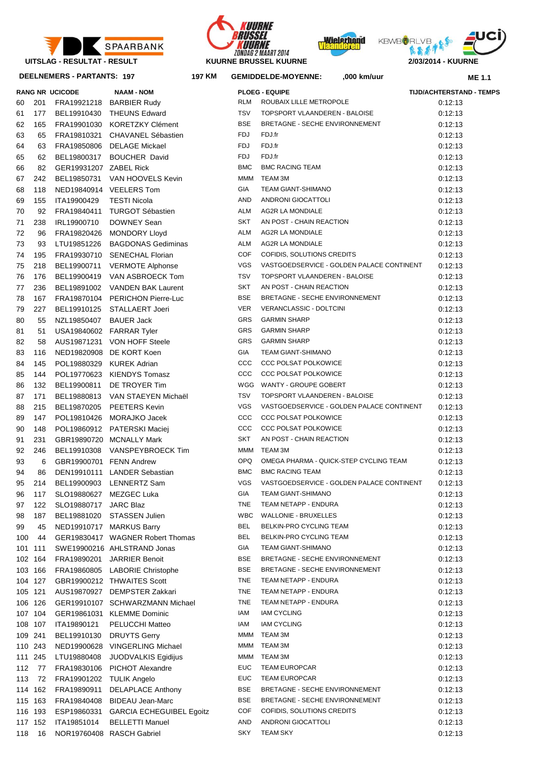





**RANG NR UCICODE NAAM - NOM PLOEG - EQUIPE TIJD/ACHTERSTAND - TEMPS**

**KM GEMIDDELDE-MOYENNE: ,000 km/uur**



**ME 1.1**

**DEELNEMERS - PARTANTS: 197 197**

|     |         | <b>RANG NR UCICODE</b>   | <b>NAAM - NOM</b>                |            | <b>PLOEG - EQUIPE</b>                     | <b>TIJD/ACHTERSTA</b> |
|-----|---------|--------------------------|----------------------------------|------------|-------------------------------------------|-----------------------|
| 60  | 201     |                          | FRA19921218 BARBIER Rudy         | <b>RLM</b> | ROUBAIX LILLE METROPOLE                   | 0:12:13               |
| 61  | 177     | BEL19910430              | <b>THEUNS Edward</b>             | <b>TSV</b> | TOPSPORT VLAANDEREN - BALOISE             | 0:12:13               |
| 62  | 165     | FRA19901030              | <b>KORETZKY Clément</b>          | <b>BSE</b> | BRETAGNE - SECHE ENVIRONNEMENT            | 0:12:13               |
| 63  | 65      | FRA19810321              | CHAVANEL Sébastien               | <b>FDJ</b> | FDJ.fr                                    | 0:12:13               |
| 64  | 63      | FRA19850806              | DELAGE Mickael                   | <b>FDJ</b> | FDJ.fr                                    | 0:12:13               |
| 65  | 62      | BEL19800317              | <b>BOUCHER David</b>             | <b>FDJ</b> | FDJ.fr                                    | 0:12:13               |
| 66  | 82      | GER19931207 ZABEL Rick   |                                  | <b>BMC</b> | <b>BMC RACING TEAM</b>                    | 0:12:13               |
| 67  | 242     | BEL19850731              | VAN HOOVELS Kevin                | <b>MMM</b> | TEAM 3M                                   | 0:12:13               |
| 68  | 118     |                          | NED19840914 VEELERS Tom          | GIA        | <b>TEAM GIANT-SHIMANO</b>                 | 0:12:13               |
| 69  | 155     | ITA19900429              | <b>TESTI Nicola</b>              | AND        | ANDRONI GIOCATTOLI                        | 0:12:13               |
| 70  | 92      | FRA19840411              | <b>TURGOT Sébastien</b>          | <b>ALM</b> | <b>AG2R LA MONDIALE</b>                   | 0:12:13               |
| 71  | 238     | IRL19900710              | DOWNEY Sean                      | <b>SKT</b> | AN POST - CHAIN REACTION                  | 0:12:13               |
| 72  | 96      | FRA19820426              | <b>MONDORY Lloyd</b>             | <b>ALM</b> | <b>AG2R LA MONDIALE</b>                   | 0:12:13               |
| 73  | 93      | LTU19851226              | <b>BAGDONAS Gediminas</b>        | <b>ALM</b> | <b>AG2R LA MONDIALE</b>                   | 0:12:13               |
|     |         |                          |                                  | COF        | COFIDIS, SOLUTIONS CREDITS                |                       |
| 74  | 195     | FRA19930710              | <b>SENECHAL Florian</b>          | <b>VGS</b> | VASTGOEDSERVICE - GOLDEN PALACE CONTINENT | 0:12:13               |
| 75  | 218     | BEL19900711              | <b>VERMOTE Alphonse</b>          | <b>TSV</b> | TOPSPORT VLAANDEREN - BALOISE             | 0:12:13               |
| 76  | 176     | BEL19900419              | VAN ASBROECK Tom                 |            |                                           | 0:12:13               |
| 77  | 236     | BEL19891002              | <b>VANDEN BAK Laurent</b>        | <b>SKT</b> | AN POST - CHAIN REACTION                  | 0:12:13               |
| 78  | 167     |                          | FRA19870104 PERICHON Pierre-Luc  | <b>BSE</b> | BRETAGNE - SECHE ENVIRONNEMENT            | 0:12:13               |
| 79  | 227     | BEL19910125              | <b>STALLAERT Joeri</b>           | <b>VER</b> | VERANCLASSIC - DOLTCINI                   | 0:12:13               |
| 80  | 55      | NZL19850407              | <b>BAUER Jack</b>                | GRS        | <b>GARMIN SHARP</b>                       | 0.12.13               |
| 81  | 51      |                          | USA19840602 FARRAR Tyler         | GRS        | <b>GARMIN SHARP</b>                       | 0:12:13               |
| 82  | 58      |                          | AUS19871231 VON HOFF Steele      | GRS        | <b>GARMIN SHARP</b>                       | 0:12:13               |
| 83  | 116     |                          | NED19820908 DE KORT Koen         | GIA        | <b>TEAM GIANT-SHIMANO</b>                 | 0:12:13               |
| 84  | 145     |                          | POL19880329 KUREK Adrian         | CCC        | <b>CCC POLSAT POLKOWICE</b>               | 0:12:13               |
| 85  | 144     |                          | POL19770623 KIENDYS Tomasz       | CCC        | <b>CCC POLSAT POLKOWICE</b>               | 0:12:13               |
| 86  | 132     | BEL19900811              | DE TROYER Tim                    | WGG        | WANTY - GROUPE GOBERT                     | 0:12:13               |
| 87  | 171     | BEL19880813              | VAN STAEYEN Michaël              | <b>TSV</b> | TOPSPORT VLAANDEREN - BALOISE             | 0:12:13               |
| 88  | 215     | BEL19870205              | <b>PEETERS Kevin</b>             | <b>VGS</b> | VASTGOEDSERVICE - GOLDEN PALACE CONTINENT | 0:12:13               |
| 89  | 147     | POL19810426              | MORAJKO Jacek                    | CCC        | <b>CCC POLSAT POLKOWICE</b>               | 0:12:13               |
| 90  | 148     |                          | POL19860912 PATERSKI Maciej      | ccc        | <b>CCC POLSAT POLKOWICE</b>               | 0.12:13               |
| 91  | 231     |                          | GBR19890720 MCNALLY Mark         | <b>SKT</b> | AN POST - CHAIN REACTION                  | 0:12:13               |
| 92  | 246     |                          | BEL19910308 VANSPEYBROECK Tim    | <b>MMM</b> | TEAM 3M                                   | 0:12:13               |
| 93  | 6       | GBR19900701 FENN Andrew  |                                  | <b>OPQ</b> | OMEGA PHARMA - QUICK-STEP CYCLING TEAM    | 0:12:13               |
| 94  | 86      |                          | DEN19910111 LANDER Sebastian     | <b>BMC</b> | <b>BMC RACING TEAM</b>                    | 0:12:13               |
| 95  | 214     |                          | BEL19900903 LENNERTZ Sam         | <b>VGS</b> | VASTGOEDSERVICE - GOLDEN PALACE CONTINENT | 0:12:13               |
| 96  | 117     |                          | SLO19880627 MEZGEC Luka          | GIA        | TEAM GIANT-SHIMANO                        | 0:12:13               |
| 97  | 122     | SLO19880717              | <b>JARC Blaz</b>                 | TNE        | TEAM NETAPP - ENDURA                      | 0.12:13               |
| 98  | 187     | BEL19881020              | <b>STASSEN Julien</b>            | <b>WBC</b> | <b>WALLONIE - BRUXELLES</b>               | 0.12:13               |
| 99  | 45      |                          | NED19910717 MARKUS Barry         | BEL        | BELKIN-PRO CYCLING TEAM                   | 0.12:13               |
| 100 | 44      |                          | GER19830417 WAGNER Robert Thomas | <b>BEL</b> | BELKIN-PRO CYCLING TEAM                   | 0.12:13               |
|     | 101 111 |                          | SWE19900216 AHLSTRAND Jonas      | GIA        | <b>TEAM GIANT-SHIMANO</b>                 | 0.12:13               |
|     | 102 164 | FRA19890201              | <b>JARRIER Benoit</b>            | BSE        | BRETAGNE - SECHE ENVIRONNEMENT            | 0.12:13               |
|     | 103 166 |                          | FRA19860805 LABORIE Christophe   | <b>BSE</b> | BRETAGNE - SECHE ENVIRONNEMENT            | 0.12:13               |
|     | 104 127 |                          | GBR19900212 THWAITES Scott       | TNE        | TEAM NETAPP - ENDURA                      | 0.12:13               |
|     | 105 121 |                          | AUS19870927 DEMPSTER Zakkari     | TNE        | TEAM NETAPP - ENDURA                      | 0.12:13               |
|     | 106 126 |                          | GER19910107 SCHWARZMANN Michael  | TNE        | TEAM NETAPP - ENDURA                      | 0.12:13               |
|     | 107 104 |                          | GER19861031 KLEMME Dominic       | IAM        | <b>IAM CYCLING</b>                        | 0.12:13               |
|     | 108 107 | ITA19890121              | PELUCCHI Matteo                  | IAM        | <b>IAM CYCLING</b>                        | 0.12:13               |
|     | 109 241 | BEL19910130              | <b>DRUYTS Gerry</b>              | MMM        | TEAM 3M                                   | 0.12:13               |
|     | 110 243 |                          | NED19900628 VINGERLING Michael   | <b>MMM</b> | TEAM 3M                                   | 0:12:13               |
|     |         |                          |                                  | MMM        | TEAM 3M                                   |                       |
|     | 111 245 | LTU19880408              | JUODVALKIS Egidijus              | EUC        | <b>TEAM EUROPCAR</b>                      | 0:12:13               |
| 112 | - 77    | FRA19830106              | PICHOT Alexandre                 |            |                                           | 0:12:13               |
| 113 | 72      | FRA19901202 TULIK Angelo |                                  | <b>EUC</b> | <b>TEAM EUROPCAR</b>                      | 0:12:13               |
|     | 114 162 | FRA19890911              | <b>DELAPLACE Anthony</b>         | BSE        | BRETAGNE - SECHE ENVIRONNEMENT            | 0:12:13               |
|     | 115 163 | FRA19840408              | <b>BIDEAU Jean-Marc</b>          | BSE        | BRETAGNE - SECHE ENVIRONNEMENT            | 0:12:13               |
|     | 116 193 | ESP19860331              | <b>GARCIA ECHEGUIBEL Egoitz</b>  | COF        | COFIDIS, SOLUTIONS CREDITS                | 0:12:13               |
|     | 117 152 | ITA19851014              | <b>BELLETTI Manuel</b>           | AND        | ANDRONI GIOCATTOLI                        | 0:12:13               |
|     | 118 16  |                          | NOR19760408 RASCH Gabriel        | <b>SKY</b> | <b>TEAM SKY</b>                           | 0:12:13               |

| 60 | 201     |                          | FRA19921218 BARBIER Rudy                | RLM        | ROUBAIX LILLE METROPOLE                   | 0:12:13 |
|----|---------|--------------------------|-----------------------------------------|------------|-------------------------------------------|---------|
| 61 | 177     |                          | BEL19910430 THEUNS Edward               | TSV        | TOPSPORT VLAANDEREN - BALOISE             | 0:12:13 |
| 62 | 165     |                          | FRA19901030 KORETZKY Clément            | <b>BSE</b> | BRETAGNE - SECHE ENVIRONNEMENT            | 0:12:13 |
| 63 | 65      |                          | FRA19810321 CHAVANEL Sébastien          | FDJ        | FDJ.fr                                    | 0:12:13 |
| 64 | 63      |                          | FRA19850806 DELAGE Mickael              | <b>FDJ</b> | FDJ.fr                                    | 0:12:13 |
| 65 | 62      |                          | BEL19800317 BOUCHER David               | FDJ        | FDJ.fr                                    | 0:12:13 |
| 66 | 82      | GER19931207 ZABEL Rick   |                                         | <b>BMC</b> | <b>BMC RACING TEAM</b>                    | 0:12:13 |
| 67 | 242     |                          | BEL19850731 VAN HOOVELS Kevin           | MMM        | TEAM 3M                                   | 0:12:13 |
| 68 | 118     |                          | NED19840914 VEELERS Tom                 | GIA        | TEAM GIANT-SHIMANO                        | 0:12:13 |
| 69 | 155     | ITA19900429              | <b>TESTI Nicola</b>                     | AND        | ANDRONI GIOCATTOLI                        | 0:12:13 |
| 70 | 92      | FRA19840411              | TURGOT Sébastien                        | ALM        | AG2R LA MONDIALE                          | 0:12:13 |
| 71 | 238     | IRL19900710              | DOWNEY Sean                             | SKT        | AN POST - CHAIN REACTION                  | 0:12:13 |
| 72 | 96      |                          | FRA19820426 MONDORY Lloyd               | ALM        | AG2R LA MONDIALE                          | 0:12:13 |
| 73 | 93      |                          | LTU19851226 BAGDONAS Gediminas          | ALM        | AG2R LA MONDIALE                          | 0:12:13 |
| 74 | 195     |                          | FRA19930710 SENECHAL Florian            | COF        | COFIDIS, SOLUTIONS CREDITS                | 0:12:13 |
| 75 | 218     |                          | BEL19900711 VERMOTE Alphonse            | VGS        | VASTGOEDSERVICE - GOLDEN PALACE CONTINENT | 0:12:13 |
| 76 | 176     |                          | BEL19900419 VAN ASBROECK Tom            | TSV        | TOPSPORT VLAANDEREN - BALOISE             | 0:12:13 |
| 77 | 236     |                          | BEL19891002 VANDEN BAK Laurent          | <b>SKT</b> | AN POST - CHAIN REACTION                  | 0:12:13 |
| 78 | 167     |                          | FRA19870104 PERICHON Pierre-Luc         | <b>BSE</b> | BRETAGNE - SECHE ENVIRONNEMENT            | 0:12:13 |
| 79 | 227     |                          | BEL19910125 STALLAERT Joeri             | <b>VER</b> | VERANCLASSIC - DOLTCINI                   | 0:12:13 |
| 80 | 55      | NZL19850407 BAUER Jack   |                                         | GRS        | <b>GARMIN SHARP</b>                       | 0:12:13 |
| 81 | 51      | USA19840602 FARRAR Tyler |                                         | GRS        | <b>GARMIN SHARP</b>                       | 0:12:13 |
| 82 | 58      |                          | AUS19871231 VON HOFF Steele             | GRS        | <b>GARMIN SHARP</b>                       | 0:12:13 |
| 83 | 116     |                          | NED19820908 DE KORT Koen                | GIA        | TEAM GIANT-SHIMANO                        | 0:12:13 |
| 84 | 145     |                          | POL19880329 KUREK Adrian                | ccc        | <b>CCC POLSAT POLKOWICE</b>               | 0:12:13 |
| 85 | 144     |                          | POL19770623 KIENDYS Tomasz              | ccc        | <b>CCC POLSAT POLKOWICE</b>               | 0:12:13 |
| 86 | 132     |                          | BEL19900811 DE TROYER Tim               |            | WGG WANTY - GROUPE GOBERT                 | 0:12:13 |
| 87 | 171     |                          | BEL19880813 VAN STAEYEN Michaël         | <b>TSV</b> | TOPSPORT VLAANDEREN - BALOISE             | 0:12:13 |
| 88 | 215     |                          | BEL19870205 PEETERS Kevin               | <b>VGS</b> | VASTGOEDSERVICE - GOLDEN PALACE CONTINENT | 0:12:13 |
| 89 | 147     |                          | POL19810426 MORAJKO Jacek               | ccc        | <b>CCC POLSAT POLKOWICE</b>               | 0:12:13 |
| 90 | 148     |                          | POL19860912 PATERSKI Maciej             | ccc        | <b>CCC POLSAT POLKOWICE</b>               | 0:12:13 |
| 91 | 231     |                          | GBR19890720 MCNALLY Mark                | <b>SKT</b> | AN POST - CHAIN REACTION                  | 0:12:13 |
| 92 | 246     |                          | BEL19910308 VANSPEYBROECK Tim           | MMM        | TEAM 3M                                   | 0:12:13 |
| 93 | 6       | GBR19900701 FENN Andrew  |                                         | <b>OPQ</b> | OMEGA PHARMA - QUICK-STEP CYCLING TEAM    | 0:12:13 |
| 94 | 86      |                          | DEN19910111 LANDER Sebastian            | <b>BMC</b> | <b>BMC RACING TEAM</b>                    | 0:12:13 |
| 95 | 214     |                          | BEL19900903 LENNERTZ Sam                | <b>VGS</b> | VASTGOEDSERVICE - GOLDEN PALACE CONTINENT | 0:12:13 |
| 96 | 117     |                          | SLO19880627 MEZGEC Luka                 | <b>GIA</b> | <b>TEAM GIANT-SHIMANO</b>                 | 0:12:13 |
|    | 97 122  | SLO19880717 JARC Blaz    |                                         |            | TNE TEAM NETAPP - ENDURA                  | 0:12:13 |
|    | 98 187  |                          | BEL19881020 STASSEN Julien              | WBC        | <b>WALLONIE - BRUXELLES</b>               | 0:12:13 |
| 99 | 45      |                          | NED19910717 MARKUS Barry                | BEL        | BELKIN-PRO CYCLING TEAM                   | 0:12:13 |
|    | 100 44  |                          | GER19830417 WAGNER Robert Thomas        | BEL        | BELKIN-PRO CYCLING TEAM                   | 0:12:13 |
|    | 101 111 |                          | SWE19900216 AHLSTRAND Jonas             | GIA        | <b>TEAM GIANT-SHIMANO</b>                 | 0:12:13 |
|    | 102 164 |                          | FRA19890201 JARRIER Benoit              | <b>BSE</b> | BRETAGNE - SECHE ENVIRONNEMENT            | 0:12:13 |
|    | 103 166 |                          | FRA19860805 LABORIE Christophe          | <b>BSE</b> | BRETAGNE - SECHE ENVIRONNEMENT            | 0:12:13 |
|    | 104 127 |                          | GBR19900212 THWAITES Scott              | <b>TNE</b> | TEAM NETAPP - ENDURA                      | 0:12:13 |
|    | 105 121 |                          | AUS19870927 DEMPSTER Zakkari            | TNE        | TEAM NETAPP - ENDURA                      | 0:12:13 |
|    |         |                          | 106 126 GER19910107 SCHWARZMANN Michael |            | TNE TEAM NETAPP - ENDURA                  | 0:12:13 |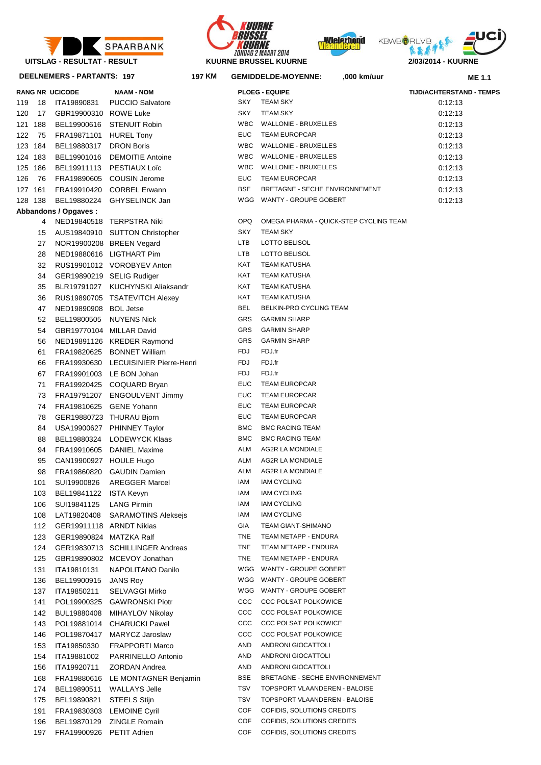

**DEELNEMERS - PARTANTS: 197 197**







**KM GEMIDDELDE-MOYENNE: ,000 km/uur**

**ME 1.1**

|     |          | DEELINEMENS - FANTANTS. 137 | ואו וסו                                                |              | <b>OCIVIIDDELDE IVIO I ENNE.</b><br>וששיווות טטט, | ME 1.1                          |
|-----|----------|-----------------------------|--------------------------------------------------------|--------------|---------------------------------------------------|---------------------------------|
|     |          | <b>RANG NR UCICODE</b>      | <b>NAAM - NOM</b>                                      |              | <b>PLOEG - EQUIPE</b>                             | <b>TIJD/ACHTERSTAND - TEMPS</b> |
| 119 | 18       | ITA19890831                 | <b>PUCCIO Salvatore</b>                                | SKY          | <b>TEAM SKY</b>                                   | 0:12:13                         |
| 120 | 17       | GBR19900310 ROWE Luke       |                                                        | SKY          | <b>TEAM SKY</b>                                   | 0:12:13                         |
| 121 | 188      | BEL19900616                 | STENUIT Robin                                          | <b>WBC</b>   | <b>WALLONIE - BRUXELLES</b>                       | 0:12:13                         |
| 122 | 75       | FRA19871101                 | <b>HUREL Tony</b>                                      | <b>EUC</b>   | <b>TEAM EUROPCAR</b>                              | 0:12:13                         |
| 123 | 184      | BEL19880317                 | <b>DRON Boris</b>                                      | <b>WBC</b>   | <b>WALLONIE - BRUXELLES</b>                       | 0:12:13                         |
| 124 | 183      | BEL19901016                 | <b>DEMOITIE Antoine</b>                                | WBC          | <b>WALLONIE - BRUXELLES</b>                       | 0:12:13                         |
| 125 | 186      | BEL19911113                 | <b>PESTIAUX Loïc</b>                                   | <b>WBC</b>   | <b>WALLONIE - BRUXELLES</b>                       | 0:12:13                         |
| 126 | 76       |                             | FRA19890605 COUSIN Jerome                              | <b>EUC</b>   | <b>TEAM EUROPCAR</b>                              | 0:12:13                         |
|     | 127 161  |                             | FRA19910420 CORBEL Erwann                              | <b>BSE</b>   | BRETAGNE - SECHE ENVIRONNEMENT                    | 0:12:13                         |
| 128 | 138      | BEL19880224                 | GHYSELINCK Jan                                         |              | WGG WANTY - GROUPE GOBERT                         | 0:12:13                         |
|     |          | Abbandons / Opgaves:        |                                                        |              |                                                   |                                 |
|     | 4        |                             | NED19840518 TERPSTRA Niki                              | OPQ          | OMEGA PHARMA - QUICK-STEP CYCLING TEAM            |                                 |
|     | 15       |                             | AUS19840910 SUTTON Christopher                         | SKY          | <b>TEAM SKY</b>                                   |                                 |
|     | 27       |                             | NOR19900208 BREEN Vegard                               | LTB          | LOTTO BELISOL                                     |                                 |
|     | 28       |                             | NED19880616 LIGTHART Pim                               | LTB          | LOTTO BELISOL                                     |                                 |
|     | 32       |                             | RUS19901012 VOROBYEV Anton                             | KAT          | <b>TEAM KATUSHA</b>                               |                                 |
|     | 34       |                             | GER19890219 SELIG Rudiger                              | KAT          | <b>TEAM KATUSHA</b>                               |                                 |
|     | 35       |                             | BLR19791027 KUCHYNSKI Aliaksandr                       | KAT          | <b>TEAM KATUSHA</b>                               |                                 |
|     | 36       |                             | RUS19890705 TSATEVITCH Alexey                          | KAT          | <b>TEAM KATUSHA</b>                               |                                 |
|     | 47       | NED19890908 BOL Jetse       |                                                        | <b>BEL</b>   | BELKIN-PRO CYCLING TEAM                           |                                 |
|     | 52       | BEL19800505                 | <b>NUYENS Nick</b>                                     | <b>GRS</b>   | <b>GARMIN SHARP</b>                               |                                 |
|     | 54       | GBR19770104 MILLAR David    |                                                        | <b>GRS</b>   | <b>GARMIN SHARP</b>                               |                                 |
|     | 56       |                             | NED19891126 KREDER Raymond                             | <b>GRS</b>   | <b>GARMIN SHARP</b>                               |                                 |
|     | 61       |                             | FRA19820625 BONNET William                             | FDJ          | FDJ.fr                                            |                                 |
|     | 66       |                             | FRA19930630 LECUISINIER Pierre-Henri                   | FDJ          | FDJ.fr<br>FDJ.fr                                  |                                 |
|     | 67       |                             | FRA19901003 LE BON Johan                               | FDJ          |                                                   |                                 |
|     | 71       |                             | FRA19920425 COQUARD Bryan                              | EUC          | <b>TEAM EUROPCAR</b>                              |                                 |
|     | 73       |                             | FRA19791207 ENGOULVENT Jimmy                           | EUC<br>EUC   | <b>TEAM EUROPCAR</b><br><b>TEAM EUROPCAR</b>      |                                 |
|     | 74       |                             | FRA19810625 GENE Yohann                                | EUC          | <b>TEAM EUROPCAR</b>                              |                                 |
|     | 78<br>84 |                             | GER19880723 THURAU Bjorn<br>USA19900627 PHINNEY Taylor | <b>BMC</b>   | <b>BMC RACING TEAM</b>                            |                                 |
|     | 88       |                             | BEL19880324 LODEWYCK Klaas                             | <b>BMC</b>   | <b>BMC RACING TEAM</b>                            |                                 |
|     | 94       |                             | FRA19910605 DANIEL Maxime                              | ALM          | AG2R LA MONDIALE                                  |                                 |
|     | 95       | CAN19900927 HOULE Hugo      |                                                        | ALM          | AG2R LA MONDIALE                                  |                                 |
|     | 98       |                             | FRA19860820 GAUDIN Damien                              | ALM          | <b>AG2R LA MONDIALE</b>                           |                                 |
|     | 101      |                             | SUI19900826 AREGGER Marcel                             | IAM          | <b>IAM CYCLING</b>                                |                                 |
|     | 103      | BEL19841122 ISTA Kevyn      |                                                        | IAM          | <b>IAM CYCLING</b>                                |                                 |
|     | 106      | SUI19841125                 | <b>LANG Pirmin</b>                                     | IAM          | <b>IAM CYCLING</b>                                |                                 |
|     | 108      | LAT19820408                 | <b>SARAMOTINS Aleksejs</b>                             | IAM          | <b>IAM CYCLING</b>                                |                                 |
|     | 112      | GER19911118 ARNDT Nikias    |                                                        | GIA          | TEAM GIANT-SHIMANO                                |                                 |
|     | 123      | GER19890824 MATZKA Ralf     |                                                        | TNE          | TEAM NETAPP - ENDURA                              |                                 |
|     | 124      |                             | GER19830713 SCHILLINGER Andreas                        | TNE          | TEAM NETAPP - ENDURA                              |                                 |
|     | 125      |                             | GBR19890802 MCEVOY Jonathan                            | TNE          | TEAM NETAPP - ENDURA                              |                                 |
|     | 131      | ITA19810131                 | NAPOLITANO Danilo                                      | WGG          | WANTY - GROUPE GOBERT                             |                                 |
|     | 136      | BEL19900915                 | <b>JANS Roy</b>                                        | WGG          | WANTY - GROUPE GOBERT                             |                                 |
|     | 137      | ITA19850211                 | <b>SELVAGGI Mirko</b>                                  | WGG          | WANTY - GROUPE GOBERT                             |                                 |
|     | 141      | POL19900325                 | <b>GAWRONSKI Piotr</b>                                 | $_{\rm CCC}$ | <b>CCC POLSAT POLKOWICE</b>                       |                                 |
|     | 142      | BUL19880408                 | MIHAYLOV Nikolay                                       | $_{\rm CCC}$ | CCC POLSAT POLKOWICE                              |                                 |
|     | 143      | POL19881014                 | <b>CHARUCKI Pawel</b>                                  | $_{\rm CCC}$ | <b>CCC POLSAT POLKOWICE</b>                       |                                 |
|     | 146      | POL19870417                 | MARYCZ Jaroslaw                                        | $_{\rm ccc}$ | <b>CCC POLSAT POLKOWICE</b>                       |                                 |
|     | 153      | ITA19850330                 | <b>FRAPPORTI Marco</b>                                 | AND          | ANDRONI GIOCATTOLI                                |                                 |
|     | 154      | ITA19881002                 | PARRINELLO Antonio                                     | AND          | ANDRONI GIOCATTOLI                                |                                 |
|     | 156      | ITA19920711                 | ZORDAN Andrea                                          | AND          | ANDRONI GIOCATTOLI                                |                                 |
|     | 168      | FRA19880616                 | LE MONTAGNER Benjamin                                  | <b>BSE</b>   | BRETAGNE - SECHE ENVIRONNEMENT                    |                                 |
|     | 174      | BEL19890511                 | <b>WALLAYS Jelle</b>                                   | TSV          | TOPSPORT VLAANDEREN - BALOISE                     |                                 |
|     | 175      | BEL19890821                 | <b>STEELS Stijn</b>                                    | TSV          | TOPSPORT VLAANDEREN - BALOISE                     |                                 |
|     | 191      | FRA19830303                 | <b>LEMOINE Cyril</b>                                   | COF          | COFIDIS, SOLUTIONS CREDITS                        |                                 |
|     | 196      | BEL19870129                 | <b>ZINGLE Romain</b>                                   | COF          | COFIDIS, SOLUTIONS CREDITS                        |                                 |
|     | 197      | FRA19900926 PETIT Adrien    |                                                        | <b>COF</b>   | COFIDIS, SOLUTIONS CREDITS                        |                                 |

| 119 | - 18       | ITA19890831                             | <b>PUCCIO Salvatore</b>                          | SKY          | <b>TEAM SKY</b>                            | 0:12:13 |
|-----|------------|-----------------------------------------|--------------------------------------------------|--------------|--------------------------------------------|---------|
| 120 | 17         | GBR19900310 ROWE Luke                   |                                                  | <b>SKY</b>   | <b>TEAM SKY</b>                            | 0:12:13 |
|     | 121 188    |                                         | BEL19900616 STENUIT Robin                        | <b>WBC</b>   | <b>WALLONIE - BRUXELLES</b>                | 0:12:13 |
|     | 122 75     | FRA19871101 HUREL Tony                  |                                                  | <b>EUC</b>   | <b>TEAM EUROPCAR</b>                       | 0:12:13 |
|     | 123 184    | BEL19880317                             | <b>DRON Boris</b>                                | <b>WBC</b>   | <b>WALLONIE - BRUXELLES</b>                | 0:12:13 |
|     | 124 183    |                                         | BEL19901016 DEMOITIE Antoine                     | <b>WBC</b>   | <b>WALLONIE - BRUXELLES</b>                | 0:12:13 |
|     | 125 186    |                                         | BEL19911113 PESTIAUX Loïc                        | <b>WBC</b>   | WALLONIE - BRUXELLES                       | 0:12:13 |
|     | 126 76     |                                         | FRA19890605 COUSIN Jerome                        | <b>EUC</b>   | <b>TEAM EUROPCAR</b>                       | 0:12:13 |
|     | 127 161    |                                         | FRA19910420 CORBEL Erwann                        | <b>BSE</b>   | BRETAGNE - SECHE ENVIRONNEMENT             | 0:12:13 |
|     | 128 138    |                                         | BEL19880224 GHYSELINCK Jan                       |              | WGG WANTY - GROUPE GOBERT                  | 0:12:13 |
|     |            | Abbandons / Opgaves:                    |                                                  |              |                                            |         |
|     | 4          |                                         | NED19840518 TERPSTRA Niki                        | <b>OPQ</b>   | OMEGA PHARMA - QUICK-STEP CYCLING TEAM     |         |
|     | 15         |                                         | AUS19840910 SUTTON Christopher                   | SKY          | <b>TEAM SKY</b>                            |         |
|     | 27         |                                         | NOR19900208 BREEN Vegard                         | LTB          | LOTTO BELISOL                              |         |
|     | 28         |                                         | NED19880616 LIGTHART Pim                         | LTB          | LOTTO BELISOL                              |         |
|     | 32         |                                         | RUS19901012 VOROBYEV Anton                       | KAT          | <b>TEAM KATUSHA</b>                        |         |
|     | 34         | GER19890219 SELIG Rudiger               |                                                  | KAT          | <b>TEAM KATUSHA</b>                        |         |
|     | 35         |                                         | BLR19791027 KUCHYNSKI Aliaksandr                 | KAT          | <b>TEAM KATUSHA</b>                        |         |
|     | 36         |                                         | RUS19890705 TSATEVITCH Alexey                    | KAT          | <b>TEAM KATUSHA</b>                        |         |
|     | 47         | NED19890908 BOL Jetse                   |                                                  | BEL          | BELKIN-PRO CYCLING TEAM                    |         |
|     | 52         | BEL19800505 NUYENS Nick                 |                                                  | <b>GRS</b>   | <b>GARMIN SHARP</b>                        |         |
|     | 54         | GBR19770104 MILLAR David                |                                                  | GRS          | <b>GARMIN SHARP</b>                        |         |
|     | 56         |                                         | NED19891126 KREDER Raymond                       | GRS          | <b>GARMIN SHARP</b>                        |         |
|     | 61         |                                         | FRA19820625 BONNET William                       | <b>FDJ</b>   | FDJ.fr                                     |         |
|     | 66         |                                         | FRA19930630 LECUISINIER Pierre-Henri             | FDJ          | FDJ.fr                                     |         |
|     | 67         | FRA19901003 LE BON Johan                |                                                  | <b>FDJ</b>   | FDJ.fr                                     |         |
|     | 71         |                                         | FRA19920425 COQUARD Bryan                        | <b>EUC</b>   | <b>TEAM EUROPCAR</b>                       |         |
|     | 73         |                                         | FRA19791207 ENGOULVENT Jimmy                     | <b>EUC</b>   | <b>TEAM EUROPCAR</b>                       |         |
|     | 74         | FRA19810625 GENE Yohann                 |                                                  | <b>EUC</b>   | <b>TEAM EUROPCAR</b>                       |         |
|     | 78         | GER19880723 THURAU Bjorn                |                                                  | <b>EUC</b>   | <b>TEAM EUROPCAR</b>                       |         |
|     | 84         |                                         | USA19900627 PHINNEY Taylor                       | <b>BMC</b>   | <b>BMC RACING TEAM</b>                     |         |
|     | 88         |                                         | BEL19880324 LODEWYCK Klaas                       | <b>BMC</b>   | <b>BMC RACING TEAM</b>                     |         |
|     | 94         |                                         | FRA19910605 DANIEL Maxime                        | ALM          | <b>AG2R LA MONDIALE</b>                    |         |
|     | 95         | CAN19900927 HOULE Hugo                  |                                                  | ALM          | AG2R LA MONDIALE                           |         |
|     | 98         |                                         | FRA19860820 GAUDIN Damien                        | ALM          | AG2R LA MONDIALE                           |         |
|     | 101        | SUI19900826                             | AREGGER Marcel                                   | IAM          | <b>IAM CYCLING</b>                         |         |
|     | 103        | BEL19841122 ISTA Kevyn                  |                                                  | IAM          | <b>IAM CYCLING</b>                         |         |
|     |            |                                         |                                                  | IAM          | <b>IAM CYCLING</b>                         |         |
|     | 106        | SUI19841125                             | <b>LANG Pirmin</b><br><b>SARAMOTINS Aleksejs</b> | IAM          | <b>IAM CYCLING</b>                         |         |
|     | 108<br>112 | LAT19820408<br>GER19911118 ARNDT Nikias |                                                  | GIA          | <b>TEAM GIANT-SHIMANO</b>                  |         |
|     | 123        | GER19890824 MATZKA Ralf                 |                                                  | TNE          | TEAM NETAPP - ENDURA                       |         |
|     | 124        |                                         | GER19830713 SCHILLINGER Andreas                  | TNE          | TEAM NETAPP - ENDURA                       |         |
|     | 125        |                                         | GBR19890802 MCEVOY Jonathan                      | TNE          | TEAM NETAPP - ENDURA                       |         |
|     | 131        | ITA19810131                             | NAPOLITANO Danilo                                |              | WGG WANTY - GROUPE GOBERT                  |         |
|     |            |                                         | <b>JANS Roy</b>                                  |              | WGG WANTY - GROUPE GOBERT                  |         |
|     | 136<br>137 | BEL19900915<br>ITA19850211              |                                                  |              | WGG WANTY - GROUPE GOBERT                  |         |
|     | 141        |                                         | SELVAGGI Mirko                                   | $_{\rm CCC}$ | <b>CCC POLSAT POLKOWICE</b>                |         |
|     |            |                                         | POL19900325 GAWRONSKI Piotr                      | $_{\rm ccc}$ | <b>CCC POLSAT POLKOWICE</b>                |         |
|     | 142        | BUL19880408                             | MIHAYLOV Nikolay                                 | $_{\rm ccc}$ | CCC POLSAT POLKOWICE                       |         |
|     | 143        | POL19881014                             | <b>CHARUCKI Pawel</b>                            | $_{\rm ccc}$ |                                            |         |
|     | 146        | POL19870417                             | MARYCZ Jaroslaw                                  | AND          | CCC POLSAT POLKOWICE<br>ANDRONI GIOCATTOLI |         |
|     | 153        | ITA19850330                             | <b>FRAPPORTI Marco</b>                           |              | ANDRONI GIOCATTOLI                         |         |
|     | 154        | ITA19881002                             | PARRINELLO Antonio                               | AND          |                                            |         |
|     | 156        | ITA19920711                             | ZORDAN Andrea                                    | AND          | ANDRONI GIOCATTOLI                         |         |
|     | 168        |                                         | FRA19880616 LE MONTAGNER Benjamin                | <b>BSE</b>   | BRETAGNE - SECHE ENVIRONNEMENT             |         |
|     | 174        | BEL19890511                             | <b>WALLAYS Jelle</b>                             | TSV          | TOPSPORT VLAANDEREN - BALOISE              |         |
|     | 175        | BEL19890821                             | <b>STEELS Stijn</b>                              | TSV          | TOPSPORT VLAANDEREN - BALOISE              |         |
|     | 191        | FRA19830303 LEMOINE Cyril               |                                                  | COF          | COFIDIS, SOLUTIONS CREDITS                 |         |
|     | 196        |                                         | BEL19870129 ZINGLE Romain                        | COF          | COFIDIS, SOLUTIONS CREDITS                 |         |